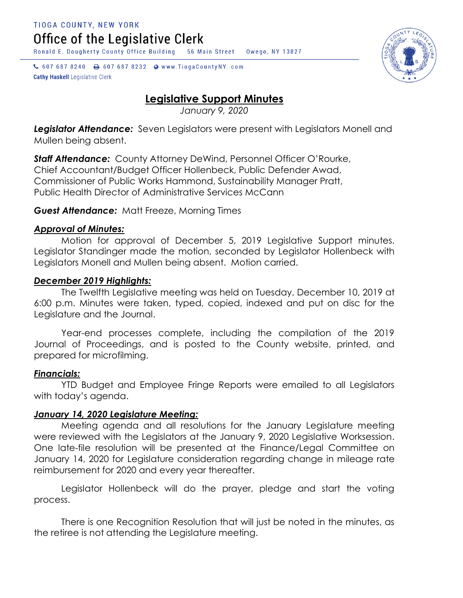Ronald E. Dougherty County Office Building 56 Main Street Owego, NY 13827

↓ 607 687 8240 → 607 687 8232 → www.TiogaCountyNY.com **Cathy Haskell Legislative Clerk** 

# **Legislative Support Minutes**

*January 9, 2020*

*Legislator Attendance:* Seven Legislators were present with Legislators Monell and Mullen being absent.

*Staff Attendance:* County Attorney DeWind, Personnel Officer O'Rourke, Chief Accountant/Budget Officer Hollenbeck, Public Defender Awad, Commissioner of Public Works Hammond, Sustainability Manager Pratt, Public Health Director of Administrative Services McCann

## *Guest Attendance:* Matt Freeze, Morning Times

## *Approval of Minutes:*

Motion for approval of December 5, 2019 Legislative Support minutes. Legislator Standinger made the motion, seconded by Legislator Hollenbeck with Legislators Monell and Mullen being absent. Motion carried.

## *December 2019 Highlights:*

The Twelfth Legislative meeting was held on Tuesday, December 10, 2019 at 6:00 p.m. Minutes were taken, typed, copied, indexed and put on disc for the Legislature and the Journal.

Year-end processes complete, including the compilation of the 2019 Journal of Proceedings, and is posted to the County website, printed, and prepared for microfilming.

## *Financials:*

YTD Budget and Employee Fringe Reports were emailed to all Legislators with today's agenda.

## *January 14, 2020 Legislature Meeting:*

Meeting agenda and all resolutions for the January Legislature meeting were reviewed with the Legislators at the January 9, 2020 Legislative Worksession. One late-file resolution will be presented at the Finance/Legal Committee on January 14, 2020 for Legislature consideration regarding change in mileage rate reimbursement for 2020 and every year thereafter.

Legislator Hollenbeck will do the prayer, pledge and start the voting process.

There is one Recognition Resolution that will just be noted in the minutes, as the retiree is not attending the Legislature meeting.